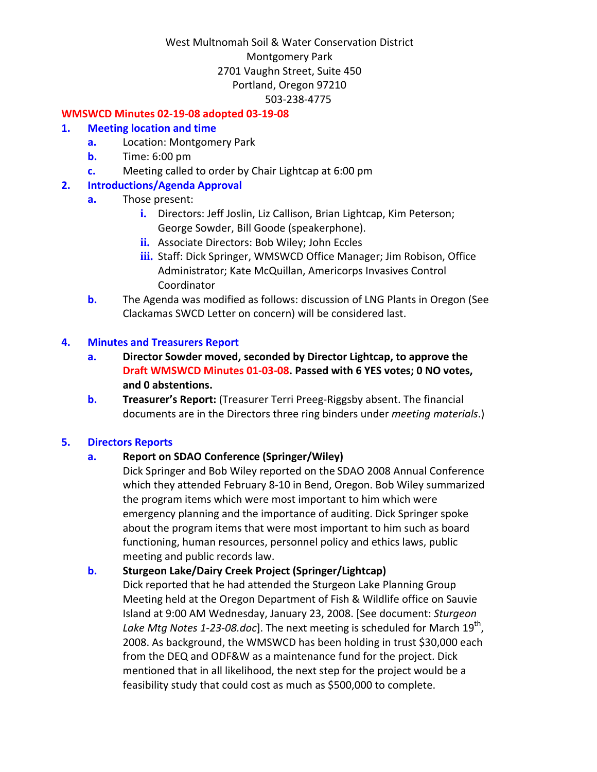#### **WMSWCD Minutes 02‐19‐08 adopted 03‐19‐08**

#### **1. Meeting location and time**

- **a.** Location: Montgomery Park
- **b.** Time: 6:00 pm
- **c.** Meeting called to order by Chair Lightcap at 6:00 pm

### **2. Introductions/Agenda Approval**

- **a.** Those present:
	- **i.** Directors: Jeff Joslin, Liz Callison, Brian Lightcap, Kim Peterson; George Sowder, Bill Goode (speakerphone).
	- **ii.** Associate Directors: Bob Wiley; John Eccles
	- **iii.** Staff: Dick Springer, WMSWCD Office Manager; Jim Robison, Office Administrator; Kate McQuillan, Americorps Invasives Control Coordinator
- **b.** The Agenda was modified as follows: discussion of LNG Plants in Oregon (See Clackamas SWCD Letter on concern) will be considered last.

#### **4. Minutes and Treasurers Report**

- **a. Director Sowder moved, seconded by Director Lightcap, to approve the Draft WMSWCD Minutes 01‐03‐08. Passed with 6 YES votes; 0 NO votes, and 0 abstentions.**
- **b. Treasurer's Report:** (Treasurer Terri Preeg‐Riggsby absent. The financial documents are in the Directors three ring binders under *meeting materials*.)

#### **5. Directors Reports**

#### **a. Report on SDAO Conference (Springer/Wiley)**

Dick Springer and Bob Wiley reported on the SDAO 2008 Annual Conference which they attended February 8‐10 in Bend, Oregon. Bob Wiley summarized the program items which were most important to him which were emergency planning and the importance of auditing. Dick Springer spoke about the program items that were most important to him such as board functioning, human resources, personnel policy and ethics laws, public meeting and public records law.

## **b. Sturgeon Lake/Dairy Creek Project (Springer/Lightcap)**

Dick reported that he had attended the Sturgeon Lake Planning Group Meeting held at the Oregon Department of Fish & Wildlife office on Sauvie Island at 9:00 AM Wednesday, January 23, 2008. [See document: *Sturgeon Lake Mtg Notes 1‐23‐08.doc*]. The next meeting is scheduled for March 19th, 2008. As background, the WMSWCD has been holding in trust \$30,000 each from the DEQ and ODF&W as a maintenance fund for the project. Dick mentioned that in all likelihood, the next step for the project would be a feasibility study that could cost as much as \$500,000 to complete.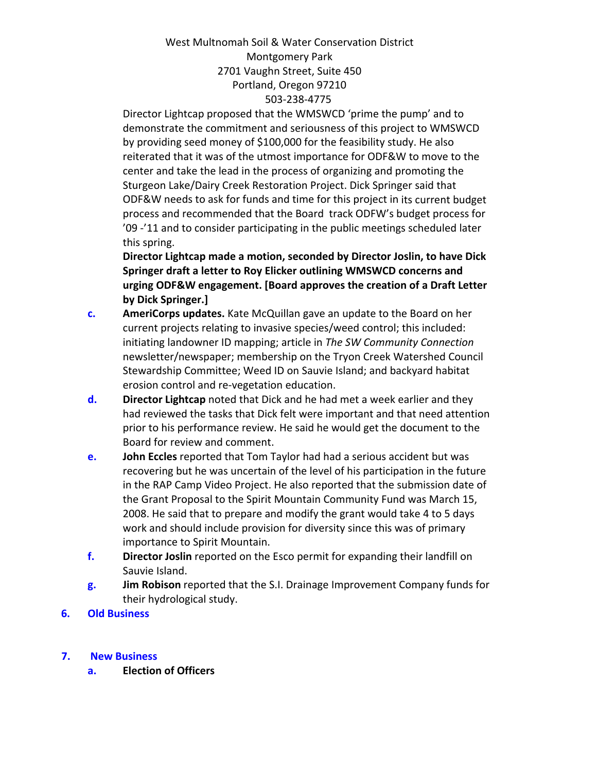Director Lightcap proposed that the WMSWCD 'prime the pump' and to demonstrate the commitment and seriousness of this project to WMSWCD by providing seed money of \$100,000 for the feasibility study. He also reiterated that it was of the utmost importance for ODF&W to move to the center and take the lead in the process of organizing and promoting the Sturgeon Lake/Dairy Creek Restoration Project. Dick Springer said that ODF&W needs to ask for funds and time for this project in its current budget process and recommended that the Board track ODFW's budget process for '09 ‐'11 and to consider participating in the public meetings scheduled later this spring.

**Director Lightcap made a motion, seconded by Director Joslin, to have Dick Springer draft a letter to Roy Elicker outlining WMSWCD concerns and urging ODF&W engagement. [Board approves the creation of a Draft Letter by Dick Springer.]**

- **c. AmeriCorps updates.** Kate McQuillan gave an update to the Board on her current projects relating to invasive species/weed control; this included: initiating landowner ID mapping; article in *The SW Community Connection* newsletter/newspaper; membership on the Tryon Creek Watershed Council Stewardship Committee; Weed ID on Sauvie Island; and backyard habitat erosion control and re‐vegetation education.
- **d. Director Lightcap** noted that Dick and he had met a week earlier and they had reviewed the tasks that Dick felt were important and that need attention prior to his performance review. He said he would get the document to the Board for review and comment.
- **e. John Eccles** reported that Tom Taylor had had a serious accident but was recovering but he was uncertain of the level of his participation in the future in the RAP Camp Video Project. He also reported that the submission date of the Grant Proposal to the Spirit Mountain Community Fund was March 15, 2008. He said that to prepare and modify the grant would take 4 to 5 days work and should include provision for diversity since this was of primary importance to Spirit Mountain.
- **f. Director Joslin** reported on the Esco permit for expanding their landfill on Sauvie Island.
- **g. Jim Robison** reported that the S.I. Drainage Improvement Company funds for their hydrological study.
- **6. Old Business**

## **7. New Business**

**a. Election of Officers**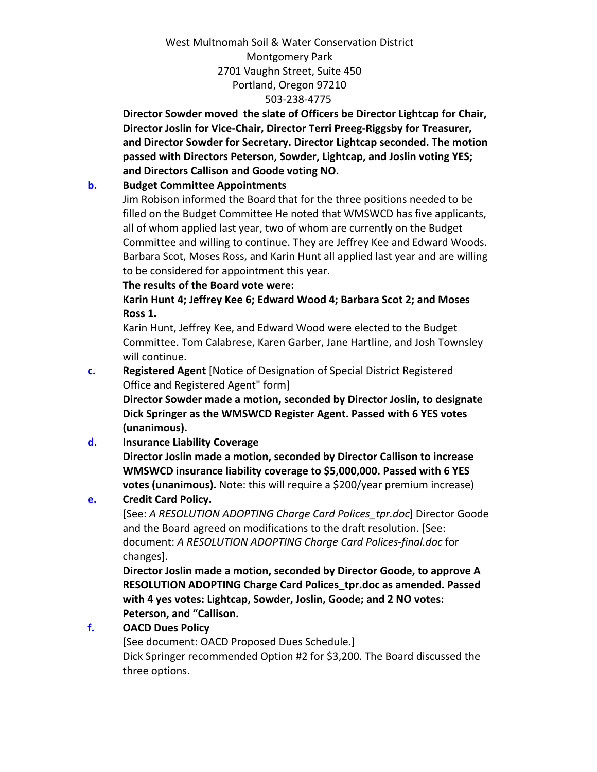**Director Sowder moved the slate of Officers be Director Lightcap for Chair, Director Joslin for Vice‐Chair, Director Terri Preeg‐Riggsby for Treasurer, and Director Sowder for Secretary. Director Lightcap seconded. The motion passed with Directors Peterson, Sowder, Lightcap, and Joslin voting YES; and Directors Callison and Goode voting NO.** 

## **b. Budget Committee Appointments**

Jim Robison informed the Board that for the three positions needed to be filled on the Budget Committee He noted that WMSWCD has five applicants, all of whom applied last year, two of whom are currently on the Budget Committee and willing to continue. They are Jeffrey Kee and Edward Woods. Barbara Scot, Moses Ross, and Karin Hunt all applied last year and are willing to be considered for appointment this year.

### **The results of the Board vote were:**

**Karin Hunt 4; Jeffrey Kee 6; Edward Wood 4; Barbara Scot 2; and Moses Ross 1.** 

Karin Hunt, Jeffrey Kee, and Edward Wood were elected to the Budget Committee. Tom Calabrese, Karen Garber, Jane Hartline, and Josh Townsley will continue.

**c. Registered Agent** [Notice of Designation of Special District Registered Office and Registered Agent" form]

**Director Sowder made a motion, seconded by Director Joslin, to designate Dick Springer as the WMSWCD Register Agent. Passed with 6 YES votes (unanimous).**

**d. Insurance Liability Coverage**

**Director Joslin made a motion, seconded by Director Callison to increase WMSWCD insurance liability coverage to \$5,000,000. Passed with 6 YES votes (unanimous).** Note: this will require a \$200/year premium increase)

# **e. Credit Card Policy.**

[See: *A RESOLUTION ADOPTING Charge Card Polices\_tpr.doc*] Director Goode and the Board agreed on modifications to the draft resolution. [See: document: *A RESOLUTION ADOPTING Charge Card Polices‐final.doc* for changes].

**Director Joslin made a motion, seconded by Director Goode, to approve A RESOLUTION ADOPTING Charge Card Polices\_tpr.doc as amended. Passed with 4 yes votes: Lightcap, Sowder, Joslin, Goode; and 2 NO votes: Peterson, and "Callison.**

## **f. OACD Dues Policy**

[See document: OACD Proposed Dues Schedule.] Dick Springer recommended Option #2 for \$3,200. The Board discussed the three options.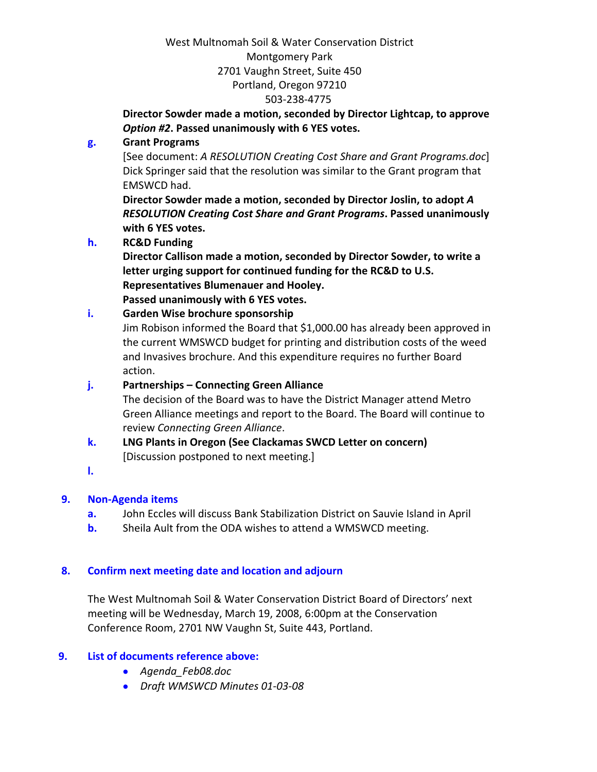# **Director Sowder made a motion, seconded by Director Lightcap, to approve** *Option #2***. Passed unanimously with 6 YES votes.**

# **g. Grant Programs**

[See document: *A RESOLUTION Creating Cost Share and Grant Programs.doc*] Dick Springer said that the resolution was similar to the Grant program that EMSWCD had.

**Director Sowder made a motion, seconded by Director Joslin, to adopt** *A RESOLUTION Creating Cost Share and Grant Programs***. Passed unanimously with 6 YES votes.**

## **h. RC&D Funding**

**Director Callison made a motion, seconded by Director Sowder, to write a letter urging support for continued funding for the RC&D to U.S. Representatives Blumenauer and Hooley.**

**Passed unanimously with 6 YES votes.**

## **i. Garden Wise brochure sponsorship**

Jim Robison informed the Board that \$1,000.00 has already been approved in the current WMSWCD budget for printing and distribution costs of the weed and Invasives brochure. And this expenditure requires no further Board action.

## **j. Partnerships – Connecting Green Alliance**

The decision of the Board was to have the District Manager attend Metro Green Alliance meetings and report to the Board. The Board will continue to review *Connecting Green Alliance*.

- **k. LNG Plants in Oregon (See Clackamas SWCD Letter on concern)** [Discussion postponed to next meeting.]
- **l.**

# **9. Non‐Agenda items**

- **a.** John Eccles will discuss Bank Stabilization District on Sauvie Island in April
- **b.** Sheila Ault from the ODA wishes to attend a WMSWCD meeting.

# **8. Confirm next meeting date and location and adjourn**

The West Multnomah Soil & Water Conservation District Board of Directors' next meeting will be Wednesday, March 19, 2008, 6:00pm at the Conservation Conference Room, 2701 NW Vaughn St, Suite 443, Portland.

## **9. List of documents reference above:**

- *Agenda\_Feb08.doc*
- *Draft WMSWCD Minutes 01‐03‐08*